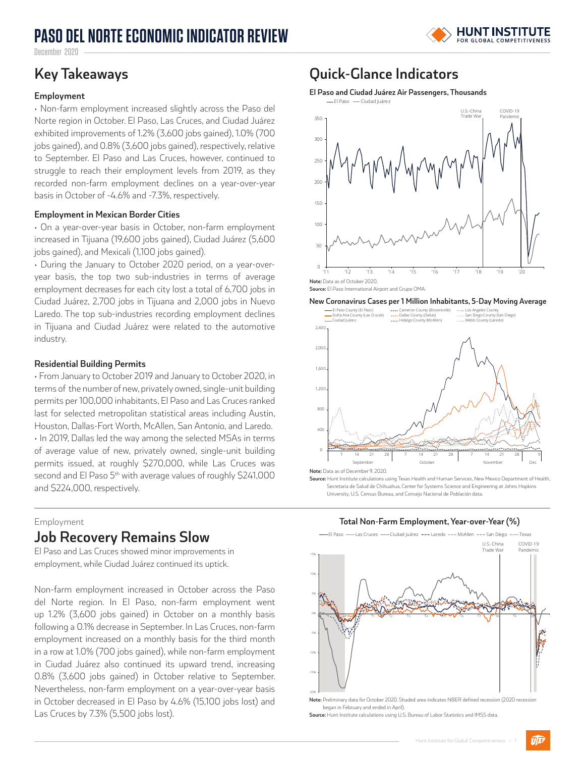## **PASO DEL NORTE ECONOMIC INDICATOR REVIEW**



December 2020

#### **Employment**

• Non-farm employment increased slightly across the Paso del Norte region in October. El Paso, Las Cruces, and Ciudad Juárez exhibited improvements of 1.2% (3,600 jobs gained), 1.0% (700 jobs gained), and 0.8% (3,600 jobs gained), respectively, relative to September. El Paso and Las Cruces, however, continued to struggle to reach their employment levels from 2019, as they recorded non-farm employment declines on a year-over-year basis in October of -4.6% and -7.3%, respectively.

#### **Employment in Mexican Border Cities**

• On a year-over-year basis in October, non-farm employment increased in Tijuana (19,600 jobs gained), Ciudad Juárez (5,600 jobs gained), and Mexicali (1,100 jobs gained).

• During the January to October 2020 period, on a year-overyear basis, the top two sub-industries in terms of average employment decreases for each city lost a total of 6,700 jobs in Ciudad Juárez, 2,700 jobs in Tijuana and 2,000 jobs in Nuevo Laredo. The top sub-industries recording employment declines in Tijuana and Ciudad Juárez were related to the automotive industry.

### **Residential Building Permits**

• From January to October 2019 and January to October 2020, in terms of the number of new, privately owned, single-unit building permits per 100,000 inhabitants, El Paso and Las Cruces ranked last for selected metropolitan statistical areas including Austin, Houston, Dallas-Fort Worth, McAllen, San Antonio, and Laredo. • In 2019, Dallas led the way among the selected MSAs in terms of average value of new, privately owned, single-unit building permits issued, at roughly \$270,000, while Las Cruces was second and El Paso 5<sup>th</sup> with average values of roughly \$241,000 and \$224,000, respectively.

#### Employment

### **Job Recovery Remains Slow**

El Paso and Las Cruces showed minor improvements in employment, while Ciudad Juárez continued its uptick.

Non-farm employment increased in October across the Paso del Norte region. In El Paso, non-farm employment went up 1.2% (3,600 jobs gained) in October on a monthly basis following a 0.1% decrease in September. In Las Cruces, non-farm employment increased on a monthly basis for the third month in a row at 1.0% (700 jobs gained), while non-farm employment in Ciudad Juárez also continued its upward trend, increasing 0.8% (3,600 jobs gained) in October relative to September. Nevertheless, non-farm employment on a year-over-year basis in October decreased in El Paso by 4.6% (15,100 jobs lost) and Las Cruces by 7.3% (5,500 jobs lost).

### **Key Takeaways Quick-Glance Indicators**

**El Paso and Ciudad Juárez Air Passengers, Thousands**







**Source:** Hunt Institute calculations using Texas Health and Human Services, New Mexico Department of Health, Secretaría de Salud de Chihuahua, Center for Systems Science and Engineering at Johns Hopkins University, U.S. Census Bureau, and Consejo Nacional de Población data.

**Total Non-Farm Employment, Year-over-Year (%)** 



**Note:** Preliminary data for October 2020. Shaded area indicates NBER defined recession (2020 recession began in February and ended in April).

**Source:** Hunt Institute calculations using U.S. Bureau of Labor Statistics and IMSS data.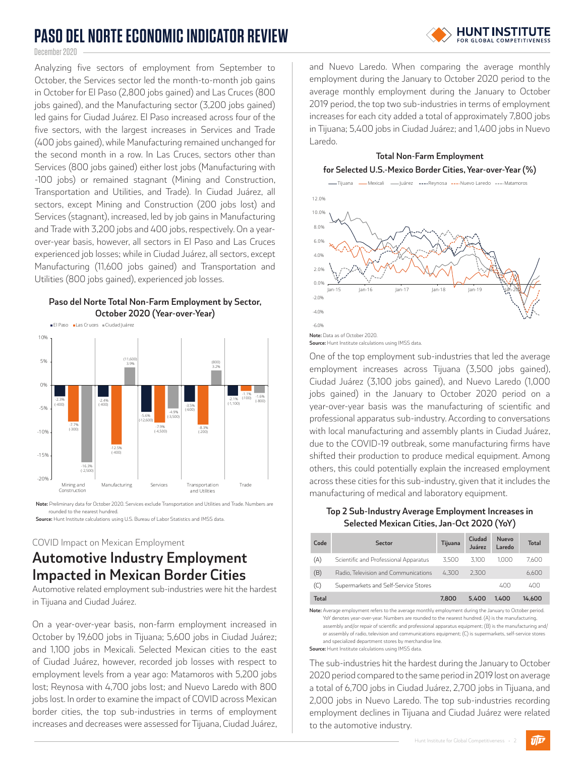# **PASO DEL NORTE ECONOMIC INDICATOR REVIEW**

# **HUNT INSTITUTE**

December 2020

Analyzing five sectors of employment from September to October, the Services sector led the month-to-month job gains in October for El Paso (2,800 jobs gained) and Las Cruces (800 jobs gained), and the Manufacturing sector (3,200 jobs gained) led gains for Ciudad Juárez. El Paso increased across four of the five sectors, with the largest increases in Services and Trade (400 jobs gained), while Manufacturing remained unchanged for the second month in a row. In Las Cruces, sectors other than Services (800 jobs gained) either lost jobs (Manufacturing with -100 jobs) or remained stagnant (Mining and Construction, Transportation and Utilities, and Trade). In Ciudad Juárez, all sectors, except Mining and Construction (200 jobs lost) and Services (stagnant), increased, led by job gains in Manufacturing and Trade with 3,200 jobs and 400 jobs, respectively. On a yearover-year basis, however, all sectors in El Paso and Las Cruces experienced job losses; while in Ciudad Juárez, all sectors, except Manufacturing (11,600 jobs gained) and Transportation and Utilities (800 jobs gained), experienced job losses.





**Note:** Preliminary data for October 2020. Services exclude Transportation and Utilities and Trade. Numbers are rounded to the nearest hundred

**Source:** Hunt Institute calculations using U.S. Bureau of Labor Statistics and IMSS data.

### COVID Impact on Mexican Employment

### **Automotive Industry Employment Impacted in Mexican Border Cities**

Automotive related employment sub-industries were hit the hardest in Tijuana and Ciudad Juárez.

On a year-over-year basis, non-farm employment increased in October by 19,600 jobs in Tijuana; 5,600 jobs in Ciudad Juárez; and 1,100 jobs in Mexicali. Selected Mexican cities to the east of Ciudad Juárez, however, recorded job losses with respect to employment levels from a year ago: Matamoros with 5,200 jobs lost; Reynosa with 4,700 jobs lost; and Nuevo Laredo with 800 jobs lost. In order to examine the impact of COVID across Mexican border cities, the top sub-industries in terms of employment increases and decreases were assessed for Tijuana, Ciudad Juárez, and Nuevo Laredo. When comparing the average monthly employment during the January to October 2020 period to the average monthly employment during the January to October 2019 period, the top two sub-industries in terms of employment increases for each city added a total of approximately 7,800 jobs in Tijuana; 5,400 jobs in Ciudad Juárez; and 1,400 jobs in Nuevo Laredo.



One of the top employment sub-industries that led the average employment increases across Tijuana (3,500 jobs gained), Ciudad Juárez (3,100 jobs gained), and Nuevo Laredo (1,000 jobs gained) in the January to October 2020 period on a year-over-year basis was the manufacturing of scientific and professional apparatus sub-industry. According to conversations with local manufacturing and assembly plants in Ciudad Juárez, due to the COVID-19 outbreak, some manufacturing firms have shifted their production to produce medical equipment. Among others, this could potentially explain the increased employment across these cities for this sub-industry, given that it includes the manufacturing of medical and laboratory equipment.

### **Top 2 Sub-Industry Average Employment Increases in Selected Mexican Cities, Jan-Oct 2020 (YoY)**

| <b>Sector</b>                         | Tijuana | Ciudad<br>Juárez | Nuevo<br>Laredo | <b>Total</b> |
|---------------------------------------|---------|------------------|-----------------|--------------|
| Scientific and Professional Apparatus | 3.500   | 3.100            | 1.000           | 7.600        |
| Radio. Television and Communications  | 4.300   | 2.300            |                 | 6.600        |
| Supermarkets and Self-Service Stores  |         |                  | 400             | 400          |
|                                       | 7.800   | 5.400            | 1.400           | 14.600       |
|                                       |         |                  |                 |              |

**Note:** Average employment refers to the average monthly employment during the January to October period. YoY denotes year-over-year. Numbers are rounded to the nearest hundred. (A) is the manufacturing, **Note:** assembly and/or repair of scientific and professional apparatus equipment; (B) is the manufacturing and/ **Note:** or assembly of radio, television and communications equipment; (C) is supermarkets, self-service stores **Note:** and specialized department stores by merchandise line. **Source:** Hunt Institute calculations using IMSS data.

The sub-industries hit the hardest during the January to October 2020 period compared to the same period in 2019 lost on average a total of 6,700 jobs in Ciudad Juárez, 2,700 jobs in Tijuana, and 2,000 jobs in Nuevo Laredo. The top sub-industries recording employment declines in Tijuana and Ciudad Juárez were related to the automotive industry.